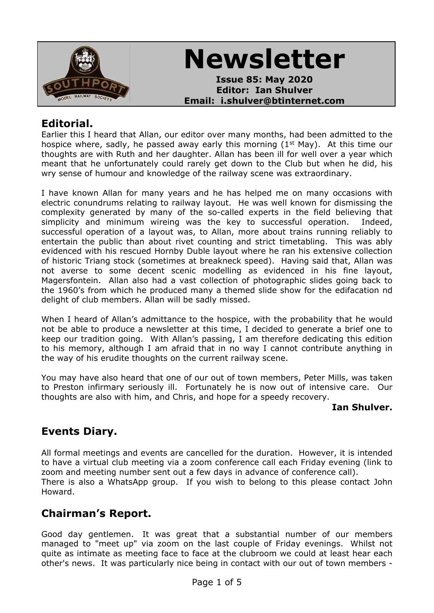

**Newsletter**

**Issue 85: May 2020 Editor: Ian Shulver Email: i.shulver@btinternet.com**

## **Editorial.**

Earlier this I heard that Allan, our editor over many months, had been admitted to the hospice where, sadly, he passed away early this morning (1<sup>st</sup> May). At this time our thoughts are with Ruth and her daughter. Allan has been ill for well over a year which meant that he unfortunately could rarely get down to the Club but when he did, his wry sense of humour and knowledge of the railway scene was extraordinary.

I have known Allan for many years and he has helped me on many occasions with electric conundrums relating to railway layout. He was well known for dismissing the complexity generated by many of the so-called experts in the field believing that simplicity and minimum wireing was the key to successful operation. Indeed, successful operation of a layout was, to Allan, more about trains running reliably to entertain the public than about rivet counting and strict timetabling. This was ably evidenced with his rescued Hornby Duble layout where he ran his extensive collection of historic Triang stock (sometimes at breakneck speed). Having said that, Allan was not averse to some decent scenic modelling as evidenced in his fine layout, Magersfontein. Allan also had a vast collection of photographic slides going back to the 1960's from which he produced many a themed slide show for the edifacation nd delight of club members. Allan will be sadly missed.

When I heard of Allan's admittance to the hospice, with the probability that he would not be able to produce a newsletter at this time, I decided to generate a brief one to keep our tradition going. With Allan's passing, I am therefore dedicating this edition to his memory, although I am afraid that in no way I cannot contribute anything in the way of his erudite thoughts on the current railway scene.

You may have also heard that one of our out of town members, Peter Mills, was taken to Preston infirmary seriously ill. Fortunately he is now out of intensive care. Our thoughts are also with him, and Chris, and hope for a speedy recovery.

### **Ian Shulver.**

# **Events Diary.**

All formal meetings and events are cancelled for the duration. However, it is intended to have a virtual club meeting via a zoom conference call each Friday evening (link to zoom and meeting number sent out a few days in advance of conference call). There is also a WhatsApp group. If you wish to belong to this please contact John Howard.

# **Chairman's Report.**

Good day gentlemen. It was great that a substantial number of our members managed to "meet up" via zoom on the last couple of Friday evenings. Whilst not quite as intimate as meeting face to face at the clubroom we could at least hear each other's news. It was particularly nice being in contact with our out of town members -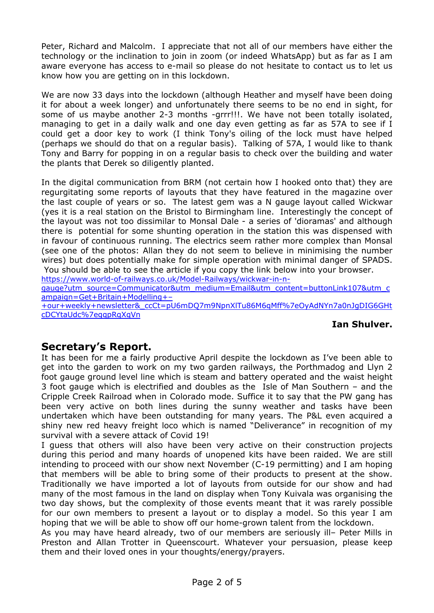Peter, Richard and Malcolm. I appreciate that not all of our members have either the technology or the inclination to join in zoom (or indeed WhatsApp) but as far as I am aware everyone has access to e-mail so please do not hesitate to contact us to let us know how you are getting on in this lockdown.

We are now 33 days into the lockdown (although Heather and myself have been doing it for about a week longer) and unfortunately there seems to be no end in sight, for some of us maybe another 2-3 months -grrr!!!. We have not been totally isolated, managing to get in a daily walk and one day even getting as far as 57A to see if I could get a door key to work (I think Tony's oiling of the lock must have helped (perhaps we should do that on a regular basis). Talking of 57A, I would like to thank Tony and Barry for popping in on a regular basis to check over the building and water the plants that Derek so diligently planted.

In the digital communication from BRM (not certain how I hooked onto that) they are regurgitating some reports of layouts that they have featured in the magazine over the last couple of years or so. The latest gem was a N gauge layout called Wickwar (yes it is a real station on the Bristol to Birmingham line. Interestingly the concept of the layout was not too dissimilar to Monsal Dale - a series of 'dioramas' and although there is potential for some shunting operation in the station this was dispensed with in favour of continuous running. The electrics seem rather more complex than Monsal (see one of the photos: Allan they do not seem to believe in minimising the number wires) but does potentially make for simple operation with minimal danger of SPADS. You should be able to see the article if you copy the link below into your browser.

[https://www.world-of-railways.co.uk/Model-Railways/wickwar-in-n-](https://www.world-of-railways.co.uk/Model-Railways/wickwar-in-n-gauge?utm_source=Communicator&utm_medium=Email&utm_content=buttonLink107&utm_campaign=Get+Britain+Modelling+–+our+weekly+newsletter&_ccCt=pU6mDQ7m9NpnXlTu86M6qMfftOyAdNYn7a0nJgDIG6GHtcDCYtaU)

[gauge?utm\\_source=Communicator&utm\\_medium=Email&utm\\_content=buttonLink107&utm\\_c](https://www.world-of-railways.co.uk/Model-Railways/wickwar-in-n-gauge?utm_source=Communicator&utm_medium=Email&utm_content=buttonLink107&utm_campaign=Get+Britain+Modelling+–+our+weekly+newsletter&_ccCt=pU6mDQ7m9NpnXlTu86M6qMfftOyAdNYn7a0nJgDIG6GHtcDCYtaU) [ampaign=Get+Britain+Modelling+](https://www.world-of-railways.co.uk/Model-Railways/wickwar-in-n-gauge?utm_source=Communicator&utm_medium=Email&utm_content=buttonLink107&utm_campaign=Get+Britain+Modelling+–+our+weekly+newsletter&_ccCt=pU6mDQ7m9NpnXlTu86M6qMfftOyAdNYn7a0nJgDIG6GHtcDCYtaU)–

[+our+weekly+newsletter&\\_ccCt=pU6mDQ7m9NpnXlTu86M6qMff%7eOyAdNYn7a0nJgDIG6GHt](https://www.world-of-railways.co.uk/Model-Railways/wickwar-in-n-gauge?utm_source=Communicator&utm_medium=Email&utm_content=buttonLink107&utm_campaign=Get+Britain+Modelling+–+our+weekly+newsletter&_ccCt=pU6mDQ7m9NpnXlTu86M6qMfftOyAdNYn7a0nJgDIG6GHtcDCYtaU) [cDCYtaUdc%7egqpRqXqVn](https://www.world-of-railways.co.uk/Model-Railways/wickwar-in-n-gauge?utm_source=Communicator&utm_medium=Email&utm_content=buttonLink107&utm_campaign=Get+Britain+Modelling+–+our+weekly+newsletter&_ccCt=pU6mDQ7m9NpnXlTu86M6qMfftOyAdNYn7a0nJgDIG6GHtcDCYtaU)

### **Ian Shulver.**

### **Secretary's Report.**

It has been for me a fairly productive April despite the lockdown as I've been able to get into the garden to work on my two garden railways, the Porthmadog and Llyn 2 foot gauge ground level line which is steam and battery operated and the waist height 3 foot gauge which is electrified and doubles as the Isle of Man Southern – and the Cripple Creek Railroad when in Colorado mode. Suffice it to say that the PW gang has been very active on both lines during the sunny weather and tasks have been undertaken which have been outstanding for many years. The P&L even acquired a shiny new red heavy freight loco which is named "Deliverance" in recognition of my survival with a severe attack of Covid 19!

I guess that others will also have been very active on their construction projects during this period and many hoards of unopened kits have been raided. We are still intending to proceed with our show next November (C-19 permitting) and I am hoping that members will be able to bring some of their products to present at the show. Traditionally we have imported a lot of layouts from outside for our show and had many of the most famous in the land on display when Tony Kuivala was organising the two day shows, but the complexity of those events meant that it was rarely possible for our own members to present a layout or to display a model. So this year I am hoping that we will be able to show off our home-grown talent from the lockdown.

As you may have heard already, two of our members are seriously ill– Peter Mills in Preston and Allan Trotter in Queenscourt. Whatever your persuasion, please keep them and their loved ones in your thoughts/energy/prayers.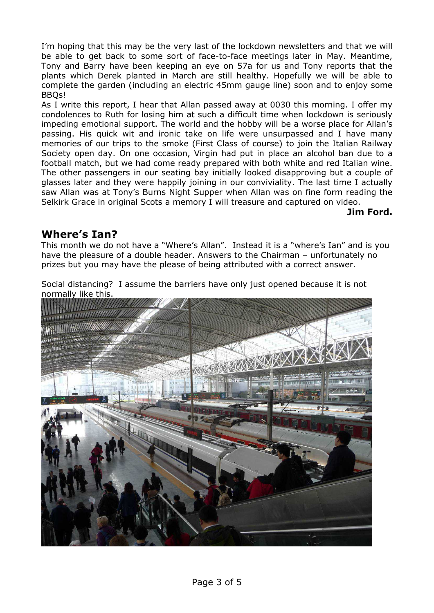I'm hoping that this may be the very last of the lockdown newsletters and that we will be able to get back to some sort of face-to-face meetings later in May. Meantime, Tony and Barry have been keeping an eye on 57a for us and Tony reports that the plants which Derek planted in March are still healthy. Hopefully we will be able to complete the garden (including an electric 45mm gauge line) soon and to enjoy some BBQs!

As I write this report, I hear that Allan passed away at 0030 this morning. I offer my condolences to Ruth for losing him at such a difficult time when lockdown is seriously impeding emotional support. The world and the hobby will be a worse place for Allan's passing. His quick wit and ironic take on life were unsurpassed and I have many memories of our trips to the smoke (First Class of course) to join the Italian Railway Society open day. On one occasion, Virgin had put in place an alcohol ban due to a football match, but we had come ready prepared with both white and red Italian wine. The other passengers in our seating bay initially looked disapproving but a couple of glasses later and they were happily joining in our conviviality. The last time I actually saw Allan was at Tony's Burns Night Supper when Allan was on fine form reading the Selkirk Grace in original Scots a memory I will treasure and captured on video.

**Jim Ford.**

### **Where's Ian?**

This month we do not have a "Where's Allan". Instead it is a "where's Ian" and is you have the pleasure of a double header. Answers to the Chairman – unfortunately no prizes but you may have the please of being attributed with a correct answer.

Social distancing? I assume the barriers have only just opened because it is not normally like this.

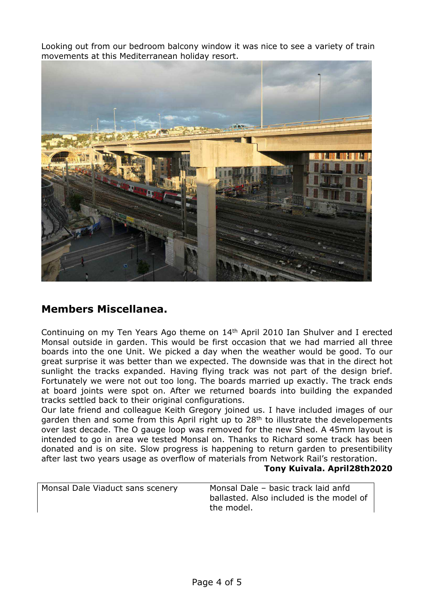Looking out from our bedroom balcony window it was nice to see a variety of train movements at this Mediterranean holiday resort.



### **Members Miscellanea.**

Continuing on my Ten Years Ago theme on 14th April 2010 Ian Shulver and I erected Monsal outside in garden. This would be first occasion that we had married all three boards into the one Unit. We picked a day when the weather would be good. To our great surprise it was better than we expected. The downside was that in the direct hot sunlight the tracks expanded. Having flying track was not part of the design brief. Fortunately we were not out too long. The boards married up exactly. The track ends at board joints were spot on. After we returned boards into building the expanded tracks settled back to their original configurations.

Our late friend and colleague Keith Gregory joined us. I have included images of our garden then and some from this April right up to 28<sup>th</sup> to illustrate the developements over last decade. The O gauge loop was removed for the new Shed. A 45mm layout is intended to go in area we tested Monsal on. Thanks to Richard some track has been donated and is on site. Slow progress is happening to return garden to presentibility after last two years usage as overflow of materials from Network Rail's restoration.

#### **Tony Kuivala. April28th2020**

| Monsal Dale Viaduct sans scenery | Monsal Dale - basic track laid anfd<br>ballasted. Also included is the model of |
|----------------------------------|---------------------------------------------------------------------------------|
|                                  | the model.                                                                      |